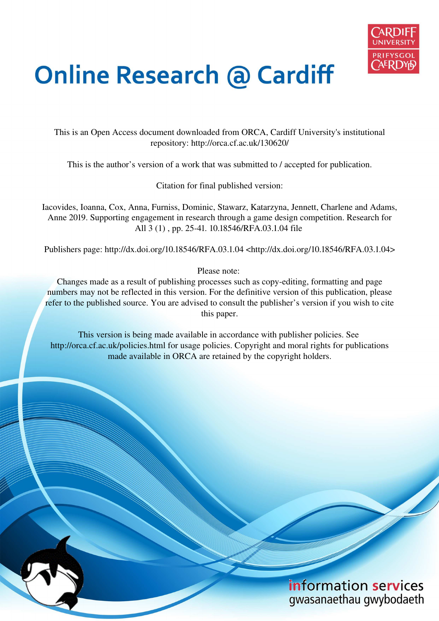

# **Online Research @ Cardiff**

This is an Open Access document downloaded from ORCA, Cardiff University's institutional repository: http://orca.cf.ac.uk/130620/

This is the author's version of a work that was submitted to / accepted for publication.

Citation for final published version:

Iacovides, Ioanna, Cox, Anna, Furniss, Dominic, Stawarz, Katarzyna, Jennett, Charlene and Adams, Anne 2019. Supporting engagement in research through a game design competition. Research for All 3 (1) , pp. 25-41. 10.18546/RFA.03.1.04 file

Publishers page: http://dx.doi.org/10.18546/RFA.03.1.04 <http://dx.doi.org/10.18546/RFA.03.1.04>

Please note:

Changes made as a result of publishing processes such as copy-editing, formatting and page numbers may not be reflected in this version. For the definitive version of this publication, please refer to the published source. You are advised to consult the publisher's version if you wish to cite this paper.

This version is being made available in accordance with publisher policies. See http://orca.cf.ac.uk/policies.html for usage policies. Copyright and moral rights for publications made available in ORCA are retained by the copyright holders.

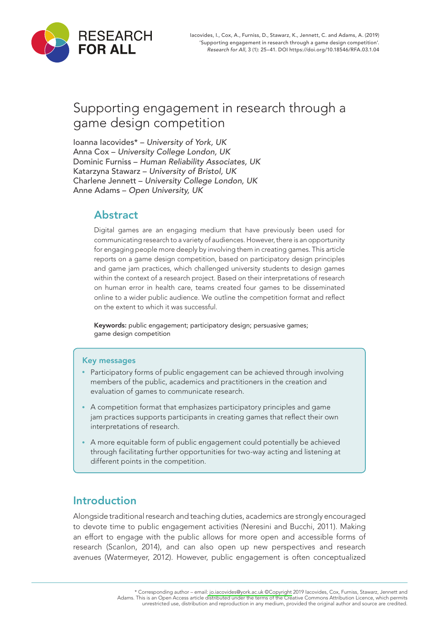

# Supporting engagement in research through a game design competition

Ioanna Iacovides\* – University of York, UK Anna Cox – University College London, UK Dominic Furniss – Human Reliability Associates, UK Katarzyna Stawarz – University of Bristol, UK Charlene Jennett – University College London, UK Anne Adams – Open University, UK

# Abstract

Digital games are an engaging medium that have previously been used for communicating research to a variety of audiences. However, there is an opportunity for engaging people more deeply by involving them in creating games. This article reports on a game design competition, based on participatory design principles and game jam practices, which challenged university students to design games within the context of a research project. Based on their interpretations of research on human error in health care, teams created four games to be disseminated online to a wider public audience. We outline the competition format and relect on the extent to which it was successful.

Keywords: public engagement; participatory design; persuasive games; game design competition

## Key messages

- Participatory forms of public engagement can be achieved through involving members of the public, academics and practitioners in the creation and evaluation of games to communicate research.
- A competition format that emphasizes participatory principles and game jam practices supports participants in creating games that reflect their own interpretations of research.
- A more equitable form of public engagement could potentially be achieved through facilitating further opportunities for two-way acting and listening at different points in the competition.

# Introduction

Alongside traditional research and teaching duties, academics are strongly encouraged to devote time to public engagement activities (Neresini and Bucchi, 2011). Making an effort to engage with the public allows for more open and accessible forms of research (Scanlon, 2014), and can also open up new perspectives and research avenues (Watermeyer, 2012). However, public engagement is often conceptualized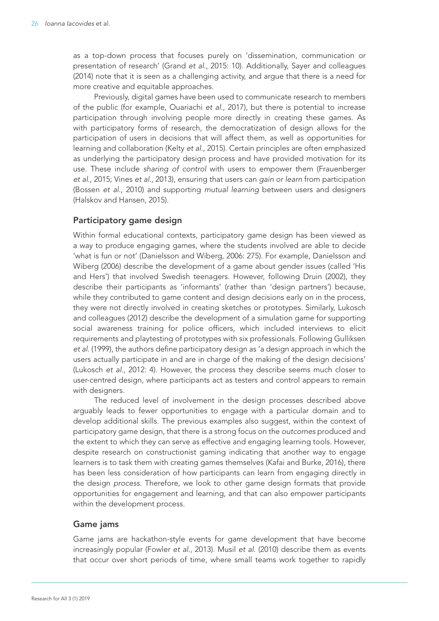as a top-down process that focuses purely on 'dissemination, communication or presentation of research' (Grand *et al*., 2015: 10). Additionally, Sayer and colleagues (2014) note that it is seen as a challenging activity, and argue that there is a need for more creative and equitable approaches.

Previously, digital games have been used to communicate research to members of the public (for example, Ouariachi *et al*., 2017), but there is potential to increase participation through involving people more directly in creating these games. As with participatory forms of research, the democratization of design allows for the participation of users in decisions that will affect them, as well as opportunities for learning and collaboration (Kelty *et al*., 2015). Certain principles are often emphasized as underlying the participatory design process and have provided motivation for its use. These include *sharing of control* with users to empower them (Frauenberger *et al*., 2015; Vines *et al.*, 2013), ensuring that users can *gain or learn* from participation (Bossen *et al*., 2010) and supporting *mutual learning* between users and designers (Halskov and Hansen, 2015).

#### Participatory game design

Within formal educational contexts, participatory game design has been viewed as a way to produce engaging games, where the students involved are able to decide 'what is fun or not' (Danielsson and Wiberg, 2006: 275). For example, Danielsson and Wiberg (2006) describe the development of a game about gender issues (called 'His and Hers') that involved Swedish teenagers. However, following Druin (2002), they describe their participants as 'informants' (rather than 'design partners') because, while they contributed to game content and design decisions early on in the process, they were not directly involved in creating sketches or prototypes. Similarly, Lukosch and colleagues (2012) describe the development of a simulation game for supporting social awareness training for police oficers, which included interviews to elicit requirements and playtesting of prototypes with six professionals. Following Gulliksen et al. (1999), the authors define participatory design as 'a design approach in which the users actually participate in and are in charge of the making of the design decisions' (Lukosch *et al*., 2012: 4). However, the process they describe seems much closer to user-centred design, where participants act as testers and control appears to remain with designers.

The reduced level of involvement in the design processes described above arguably leads to fewer opportunities to engage with a particular domain and to develop additional skills. The previous examples also suggest, within the context of participatory game design, that there is a strong focus on the *outcomes* produced and the extent to which they can serve as effective and engaging learning tools. However, despite research on constructionist gaming indicating that another way to engage learners is to task them with creating games themselves (Kafai and Burke, 2016), there has been less consideration of how participants can learn from engaging directly in the design *process*. Therefore, we look to other game design formats that provide opportunities for engagement and learning, and that can also empower participants within the development process.

#### Game jams

Game jams are hackathon-style events for game development that have become increasingly popular (Fowler *et al*., 2013). Musil *et al*. (2010) describe them as events that occur over short periods of time, where small teams work together to rapidly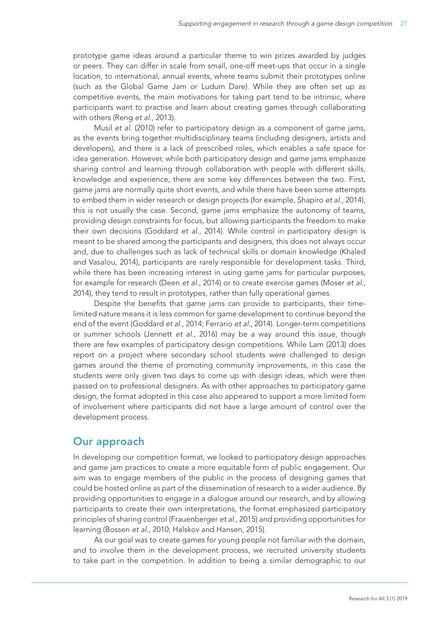prototype game ideas around a particular theme to win prizes awarded by judges or peers. They can differ in scale from small, one-off meet-ups that occur in a single location, to international, annual events, where teams submit their prototypes online (such as the Global Game Jam or Ludum Dare). While they are often set up as competitive events, the main motivations for taking part tend to be intrinsic, where participants want to practise and learn about creating games through collaborating with others (Reng *et al*., 2013).

Musil *et al*. (2010) refer to participatory design as a component of game jams, as the events bring together multidisciplinary teams (including designers, artists and developers), and there is a lack of prescribed roles, which enables a safe space for idea generation. However, while both participatory design and game jams emphasize sharing control and learning through collaboration with people with different skills, knowledge and experience, there are some key differences between the two. First, game jams are normally quite short events, and while there have been some attempts to embed them in wider research or design projects (for example, Shapiro *et al*., 2014), this is not usually the case. Second, game jams emphasize the autonomy of teams, providing design constraints for focus, but allowing participants the freedom to make their own decisions (Goddard *et al*., 2014). While control in participatory design is meant to be shared among the participants and designers, this does not always occur and, due to challenges such as lack of technical skills or domain knowledge (Khaled and Vasalou, 2014), participants are rarely responsible for development tasks. Third, while there has been increasing interest in using game jams for particular purposes, for example for research (Deen *et al*., 2014) or to create exercise games (Moser *et al*., 2014), they tend to result in prototypes, rather than fully operational games.

Despite the benefits that game jams can provide to participants, their timelimited nature means it is less common for game development to continue beyond the end of the event (Goddard *et al*., 2014; Ferrario *et al*., 2014). Longer-term competitions or summer schools (Jennett *et al*., 2016) may be a way around this issue, though there are few examples of participatory design competitions. While Lam (2013) does report on a project where secondary school students were challenged to design games around the theme of promoting community improvements, in this case the students were only given two days to come up with design ideas, which were then passed on to professional designers. As with other approaches to participatory game design, the format adopted in this case also appeared to support a more limited form of involvement where participants did not have a large amount of control over the development process.

# Our approach

In developing our competition format, we looked to participatory design approaches and game jam practices to create a more equitable form of public engagement. Our aim was to engage members of the public in the process of designing games that could be hosted online as part of the dissemination of research to a wider audience. By providing opportunities to engage in a dialogue around our research, and by allowing participants to create their own interpretations, the format emphasized participatory principles of sharing control (Frauenberger *et al*., 2015) and providing opportunities for learning (Bossen *et al*., 2010; Halskov and Hansen, 2015).

As our goal was to create games for young people not familiar with the domain, and to involve them in the development process, we recruited university students to take part in the competition. In addition to being a similar demographic to our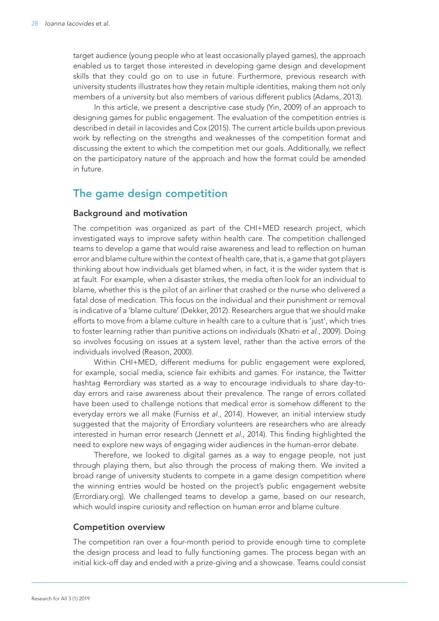target audience (young people who at least occasionally played games), the approach enabled us to target those interested in developing game design and development skills that they could go on to use in future. Furthermore, previous research with university students illustrates how they retain multiple identities, making them not only members of a university but also members of various different publics (Adams, 2013).

In this article, we present a descriptive case study (Yin, 2009) of an approach to designing games for public engagement. The evaluation of the competition entries is described in detail in Iacovides and Cox (2015). The current article builds upon previous work by relecting on the strengths and weaknesses of the competition format and discussing the extent to which the competition met our goals. Additionally, we relect on the participatory nature of the approach and how the format could be amended in future.

## The game design competition

## Background and motivation

The competition was organized as part of the CHI+MED research project, which investigated ways to improve safety within health care. The competition challenged teams to develop a game that would raise awareness and lead to relection on human error and blame culture within the context of health care, that is, a game that got players thinking about how individuals get blamed when, in fact, it is the wider system that is at fault. For example, when a disaster strikes, the media often look for an individual to blame, whether this is the pilot of an airliner that crashed or the nurse who delivered a fatal dose of medication. This focus on the individual and their punishment or removal is indicative of a 'blame culture' (Dekker, 2012). Researchers argue that we should make efforts to move from a blame culture in health care to a culture that is 'just', which tries to foster learning rather than punitive actions on individuals (Khatri *et al*., 2009). Doing so involves focusing on issues at a system level, rather than the active errors of the individuals involved (Reason, 2000).

Within CHI+MED, different mediums for public engagement were explored, for example, social media, science fair exhibits and games. For instance, the Twitter hashtag #errordiary was started as a way to encourage individuals to share day-today errors and raise awareness about their prevalence. The range of errors collated have been used to challenge notions that medical error is somehow different to the everyday errors we all make (Furniss *et al*., 2014). However, an initial interview study suggested that the majority of Errordiary volunteers are researchers who are already interested in human error research (Jennett *et al*., 2014). This inding highlighted the need to explore new ways of engaging wider audiences in the human-error debate.

Therefore, we looked to digital games as a way to engage people, not just through playing them, but also through the process of making them. We invited a broad range of university students to compete in a game design competition where the winning entries would be hosted on the project's public engagement website (Errordiary.org). We challenged teams to develop a game, based on our research, which would inspire curiosity and reflection on human error and blame culture.

## Competition overview

The competition ran over a four-month period to provide enough time to complete the design process and lead to fully functioning games. The process began with an initial kick-off day and ended with a prize-giving and a showcase. Teams could consist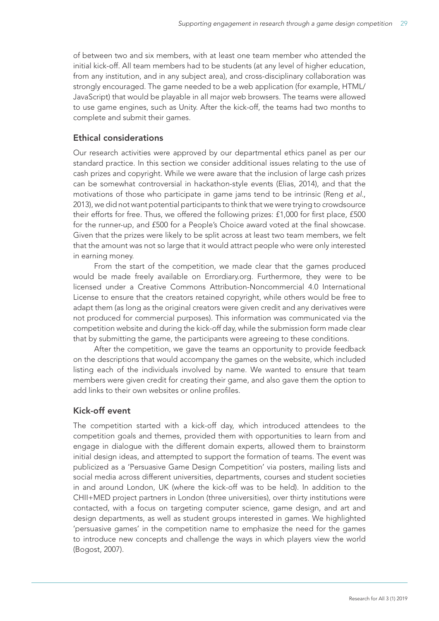of between two and six members, with at least one team member who attended the initial kick-off. All team members had to be students (at any level of higher education, from any institution, and in any subject area), and cross-disciplinary collaboration was strongly encouraged. The game needed to be a web application (for example, HTML/ JavaScript) that would be playable in all major web browsers. The teams were allowed to use game engines, such as Unity. After the kick-off, the teams had two months to complete and submit their games.

## Ethical considerations

Our research activities were approved by our departmental ethics panel as per our standard practice. In this section we consider additional issues relating to the use of cash prizes and copyright. While we were aware that the inclusion of large cash prizes can be somewhat controversial in hackathon-style events (Elias, 2014), and that the motivations of those who participate in game jams tend to be intrinsic (Reng *et al*., 2013), we did not want potential participants to think that we were trying to crowdsource their efforts for free. Thus, we offered the following prizes: £1,000 for irst place, £500 for the runner-up, and £500 for a People's Choice award voted at the final showcase. Given that the prizes were likely to be split across at least two team members, we felt that the amount was not so large that it would attract people who were only interested in earning money.

From the start of the competition, we made clear that the games produced would be made freely available on Errordiary.org. Furthermore, they were to be licensed under a Creative Commons Attribution-Noncommercial 4.0 International License to ensure that the creators retained copyright, while others would be free to adapt them (as long as the original creators were given credit and any derivatives were not produced for commercial purposes). This information was communicated via the competition website and during the kick-off day, while the submission form made clear that by submitting the game, the participants were agreeing to these conditions.

After the competition, we gave the teams an opportunity to provide feedback on the descriptions that would accompany the games on the website, which included listing each of the individuals involved by name. We wanted to ensure that team members were given credit for creating their game, and also gave them the option to add links to their own websites or online profiles.

## Kick-off event

The competition started with a kick-off day, which introduced attendees to the competition goals and themes, provided them with opportunities to learn from and engage in dialogue with the different domain experts, allowed them to brainstorm initial design ideas, and attempted to support the formation of teams. The event was publicized as a 'Persuasive Game Design Competition' via posters, mailing lists and social media across different universities, departments, courses and student societies in and around London, UK (where the kick-off was to be held). In addition to the CHII+MED project partners in London (three universities), over thirty institutions were contacted, with a focus on targeting computer science, game design, and art and design departments, as well as student groups interested in games. We highlighted 'persuasive games' in the competition name to emphasize the need for the games to introduce new concepts and challenge the ways in which players view the world (Bogost, 2007).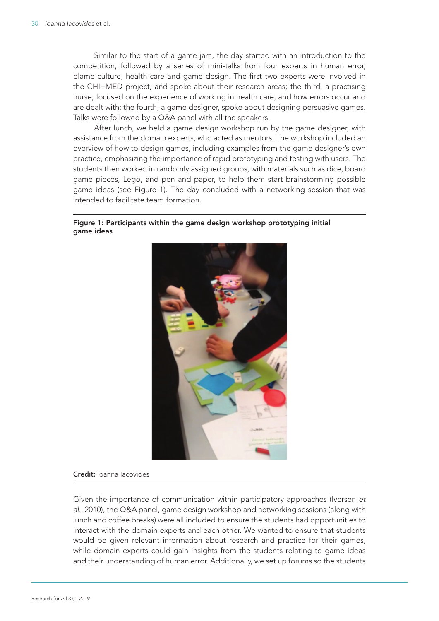Similar to the start of a game jam, the day started with an introduction to the competition, followed by a series of mini-talks from four experts in human error, blame culture, health care and game design. The first two experts were involved in the CHI+MED project, and spoke about their research areas; the third, a practising nurse, focused on the experience of working in health care, and how errors occur and are dealt with; the fourth, a game designer, spoke about designing persuasive games. Talks were followed by a Q&A panel with all the speakers.

After lunch, we held a game design workshop run by the game designer, with assistance from the domain experts, who acted as mentors. The workshop included an overview of how to design games, including examples from the game designer's own practice, emphasizing the importance of rapid prototyping and testing with users. The students then worked in randomly assigned groups, with materials such as dice, board game pieces, Lego, and pen and paper, to help them start brainstorming possible game ideas (see Figure 1). The day concluded with a networking session that was intended to facilitate team formation.

#### Figure 1: Participants within the game design workshop prototyping initial game ideas



#### Credit: Ioanna Iacovides

Given the importance of communication within participatory approaches (Iversen *et al*., 2010), the Q&A panel, game design workshop and networking sessions (along with lunch and coffee breaks) were all included to ensure the students had opportunities to interact with the domain experts and each other. We wanted to ensure that students would be given relevant information about research and practice for their games, while domain experts could gain insights from the students relating to game ideas and their understanding of human error. Additionally, we set up forums so the students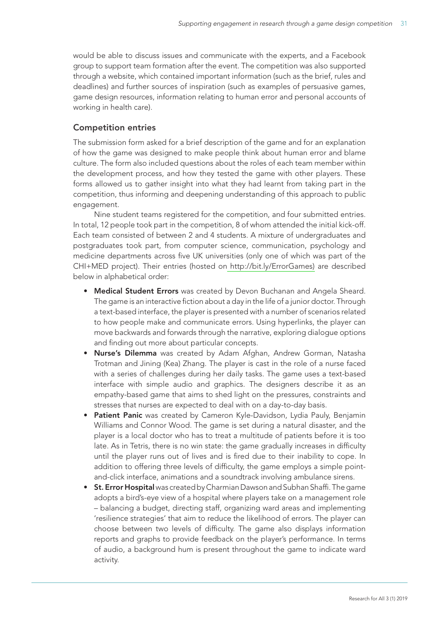would be able to discuss issues and communicate with the experts, and a Facebook group to support team formation after the event. The competition was also supported through a website, which contained important information (such as the brief, rules and deadlines) and further sources of inspiration (such as examples of persuasive games, game design resources, information relating to human error and personal accounts of working in health care).

## Competition entries

The submission form asked for a brief description of the game and for an explanation of how the game was designed to make people think about human error and blame culture. The form also included questions about the roles of each team member within the development process, and how they tested the game with other players. These forms allowed us to gather insight into what they had learnt from taking part in the competition, thus informing and deepening understanding of this approach to public engagement.

Nine student teams registered for the competition, and four submitted entries. In total, 12 people took part in the competition, 8 of whom attended the initial kick-off. Each team consisted of between 2 and 4 students. A mixture of undergraduates and postgraduates took part, from computer science, communication, psychology and medicine departments across ive UK universities (only one of which was part of the CHI+MED project). Their entries (hosted o[n http://bit.ly/ErrorGames\)](http://bit.ly/ErrorGames) are described below in alphabetical order:

- Medical Student Errors was created by Devon Buchanan and Angela Sheard. The game is an interactive fiction about a day in the life of a junior doctor. Through a text-based interface, the player is presented with a number of scenarios related to how people make and communicate errors. Using hyperlinks, the player can move backwards and forwards through the narrative, exploring dialogue options and finding out more about particular concepts.
- Nurse's Dilemma was created by Adam Afghan, Andrew Gorman, Natasha Trotman and Jining (Kea) Zhang. The player is cast in the role of a nurse faced with a series of challenges during her daily tasks. The game uses a text-based interface with simple audio and graphics. The designers describe it as an empathy-based game that aims to shed light on the pressures, constraints and stresses that nurses are expected to deal with on a day-to-day basis.
- Patient Panic was created by Cameron Kyle-Davidson, Lydia Pauly, Benjamin Williams and Connor Wood. The game is set during a natural disaster, and the player is a local doctor who has to treat a multitude of patients before it is too late. As in Tetris, there is no win state: the game gradually increases in dificulty until the player runs out of lives and is fired due to their inability to cope. In addition to offering three levels of dificulty, the game employs a simple pointand-click interface, animations and a soundtrack involving ambulance sirens.
- St. Error Hospital was created by Charmian Dawson and Subhan Shaffi. The game adopts a bird's-eye view of a hospital where players take on a management role – balancing a budget, directing staff, organizing ward areas and implementing 'resilience strategies' that aim to reduce the likelihood of errors. The player can choose between two levels of dificulty. The game also displays information reports and graphs to provide feedback on the player's performance. In terms of audio, a background hum is present throughout the game to indicate ward activity.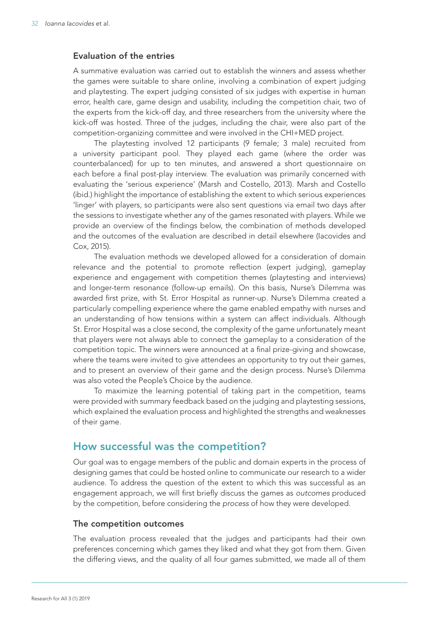## Evaluation of the entries

A summative evaluation was carried out to establish the winners and assess whether the games were suitable to share online, involving a combination of expert judging and playtesting. The expert judging consisted of six judges with expertise in human error, health care, game design and usability, including the competition chair, two of the experts from the kick-off day, and three researchers from the university where the kick-off was hosted. Three of the judges, including the chair, were also part of the competition-organizing committee and were involved in the CHI+MED project.

The playtesting involved 12 participants (9 female; 3 male) recruited from a university participant pool. They played each game (where the order was counterbalanced) for up to ten minutes, and answered a short questionnaire on each before a final post-play interview. The evaluation was primarily concerned with evaluating the 'serious experience' (Marsh and Costello, 2013). Marsh and Costello (ibid.) highlight the importance of establishing the extent to which serious experiences 'linger' with players, so participants were also sent questions via email two days after the sessions to investigate whether any of the games resonated with players. While we provide an overview of the indings below, the combination of methods developed and the outcomes of the evaluation are described in detail elsewhere (Iacovides and Cox, 2015).

The evaluation methods we developed allowed for a consideration of domain relevance and the potential to promote reflection (expert judging), gameplay experience and engagement with competition themes (playtesting and interviews) and longer-term resonance (follow-up emails). On this basis, Nurse's Dilemma was awarded first prize, with St. Error Hospital as runner-up. Nurse's Dilemma created a particularly compelling experience where the game enabled empathy with nurses and an understanding of how tensions within a system can affect individuals. Although St. Error Hospital was a close second, the complexity of the game unfortunately meant that players were not always able to connect the gameplay to a consideration of the competition topic. The winners were announced at a final prize-giving and showcase, where the teams were invited to give attendees an opportunity to try out their games, and to present an overview of their game and the design process. Nurse's Dilemma was also voted the People's Choice by the audience.

To maximize the learning potential of taking part in the competition, teams were provided with summary feedback based on the judging and playtesting sessions, which explained the evaluation process and highlighted the strengths and weaknesses of their game.

## How successful was the competition?

Our goal was to engage members of the public and domain experts in the process of designing games that could be hosted online to communicate our research to a wider audience. To address the question of the extent to which this was successful as an engagement approach, we will first briefly discuss the games as *outcomes* produced by the competition, before considering the *process* of how they were developed.

#### The competition outcomes

The evaluation process revealed that the judges and participants had their own preferences concerning which games they liked and what they got from them. Given the differing views, and the quality of all four games submitted, we made all of them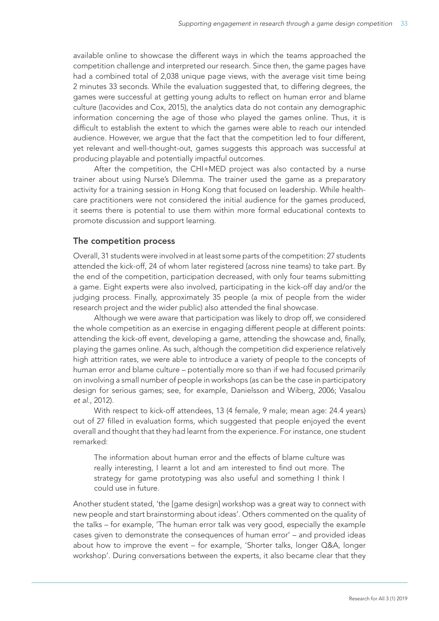available online to showcase the different ways in which the teams approached the competition challenge and interpreted our research. Since then, the game pages have had a combined total of 2,038 unique page views, with the average visit time being 2 minutes 33 seconds. While the evaluation suggested that, to differing degrees, the games were successful at getting young adults to reflect on human error and blame culture (Iacovides and Cox, 2015), the analytics data do not contain any demographic information concerning the age of those who played the games online. Thus, it is dificult to establish the extent to which the games were able to reach our intended audience. However, we argue that the fact that the competition led to four different, yet relevant and well-thought-out, games suggests this approach was successful at producing playable and potentially impactful outcomes.

After the competition, the CHI+MED project was also contacted by a nurse trainer about using Nurse's Dilemma. The trainer used the game as a preparatory activity for a training session in Hong Kong that focused on leadership. While healthcare practitioners were not considered the initial audience for the games produced, it seems there is potential to use them within more formal educational contexts to promote discussion and support learning.

#### The competition process

Overall, 31 students were involved in at least some parts of the competition: 27 students attended the kick-off, 24 of whom later registered (across nine teams) to take part. By the end of the competition, participation decreased, with only four teams submitting a game. Eight experts were also involved, participating in the kick-off day and/or the judging process. Finally, approximately 35 people (a mix of people from the wider research project and the wider public) also attended the final showcase.

Although we were aware that participation was likely to drop off, we considered the whole competition as an exercise in engaging different people at different points: attending the kick-off event, developing a game, attending the showcase and, inally, playing the games online. As such, although the competition did experience relatively high attrition rates, we were able to introduce a variety of people to the concepts of human error and blame culture – potentially more so than if we had focused primarily on involving a small number of people in workshops (as can be the case in participatory design for serious games; see, for example, Danielsson and Wiberg, 2006; Vasalou *et al*., 2012).

With respect to kick-off attendees, 13 (4 female, 9 male; mean age: 24.4 years) out of 27 filled in evaluation forms, which suggested that people enjoyed the event overall and thought that they had learnt from the experience. For instance, one student remarked:

The information about human error and the effects of blame culture was really interesting, I learnt a lot and am interested to find out more. The strategy for game prototyping was also useful and something I think I could use in future.

Another student stated, 'the [game design] workshop was a great way to connect with new people and start brainstorming about ideas'. Others commented on the quality of the talks – for example, 'The human error talk was very good, especially the example cases given to demonstrate the consequences of human error' – and provided ideas about how to improve the event – for example, 'Shorter talks, longer Q&A, longer workshop'. During conversations between the experts, it also became clear that they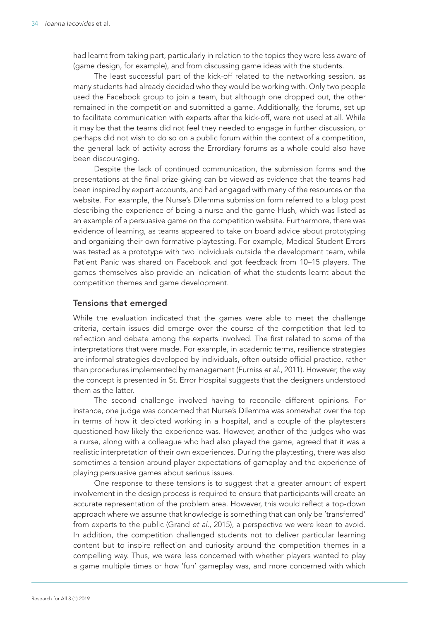had learnt from taking part, particularly in relation to the topics they were less aware of (game design, for example), and from discussing game ideas with the students.

The least successful part of the kick-off related to the networking session, as many students had already decided who they would be working with. Only two people used the Facebook group to join a team, but although one dropped out, the other remained in the competition and submitted a game. Additionally, the forums, set up to facilitate communication with experts after the kick-off, were not used at all. While it may be that the teams did not feel they needed to engage in further discussion, or perhaps did not wish to do so on a public forum within the context of a competition, the general lack of activity across the Errordiary forums as a whole could also have been discouraging.

Despite the lack of continued communication, the submission forms and the presentations at the inal prize-giving can be viewed as evidence that the teams had been inspired by expert accounts, and had engaged with many of the resources on the website. For example, the Nurse's Dilemma submission form referred to a blog post describing the experience of being a nurse and the game Hush, which was listed as an example of a persuasive game on the competition website. Furthermore, there was evidence of learning, as teams appeared to take on board advice about prototyping and organizing their own formative playtesting. For example, Medical Student Errors was tested as a prototype with two individuals outside the development team, while Patient Panic was shared on Facebook and got feedback from 10–15 players. The games themselves also provide an indication of what the students learnt about the competition themes and game development.

#### Tensions that emerged

While the evaluation indicated that the games were able to meet the challenge criteria, certain issues did emerge over the course of the competition that led to reflection and debate among the experts involved. The first related to some of the interpretations that were made. For example, in academic terms, resilience strategies are informal strategies developed by individuals, often outside oficial practice, rather than procedures implemented by management (Furniss *et al*., 2011). However, the way the concept is presented in St. Error Hospital suggests that the designers understood them as the latter.

The second challenge involved having to reconcile different opinions. For instance, one judge was concerned that Nurse's Dilemma was somewhat over the top in terms of how it depicted working in a hospital, and a couple of the playtesters questioned how likely the experience was. However, another of the judges who was a nurse, along with a colleague who had also played the game, agreed that it was a realistic interpretation of their own experiences. During the playtesting, there was also sometimes a tension around player expectations of gameplay and the experience of playing persuasive games about serious issues.

One response to these tensions is to suggest that a greater amount of expert involvement in the design process is required to ensure that participants will create an accurate representation of the problem area. However, this would reflect a top-down approach where we assume that knowledge is something that can only be 'transferred' from experts to the public (Grand *et al*., 2015), a perspective we were keen to avoid. In addition, the competition challenged students not to deliver particular learning content but to inspire relection and curiosity around the competition themes in a compelling way. Thus, we were less concerned with whether players wanted to play a game multiple times or how 'fun' gameplay was, and more concerned with which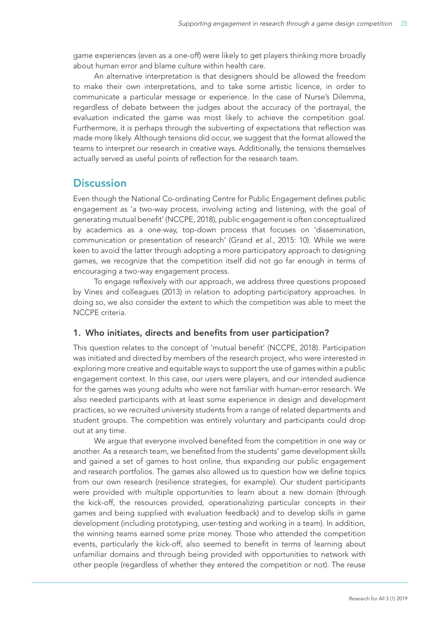game experiences (even as a one-off) were likely to get players thinking more broadly about human error and blame culture within health care.

An alternative interpretation is that designers should be allowed the freedom to make their own interpretations, and to take some artistic licence, in order to communicate a particular message or experience. In the case of Nurse's Dilemma, regardless of debate between the judges about the accuracy of the portrayal, the evaluation indicated the game was most likely to achieve the competition goal. Furthermore, it is perhaps through the subverting of expectations that reflection was made more likely. Although tensions did occur, we suggest that the format allowed the teams to interpret our research in creative ways. Additionally, the tensions themselves actually served as useful points of reflection for the research team.

## **Discussion**

Even though the National Co-ordinating Centre for Public Engagement deines public engagement as 'a two-way process, involving acting and listening, with the goal of generating mutual beneit' (NCCPE, 2018), public engagement is often conceptualized by academics as a one-way, top-down process that focuses on 'dissemination, communication or presentation of research' (Grand *et al*., 2015: 10). While we were keen to avoid the latter through adopting a more participatory approach to designing games, we recognize that the competition itself did not go far enough in terms of encouraging a two-way engagement process.

To engage reflexively with our approach, we address three questions proposed by Vines and colleagues (2013) in relation to adopting participatory approaches. In doing so, we also consider the extent to which the competition was able to meet the NCCPE criteria.

## 1. Who initiates, directs and benefits from user participation?

This question relates to the concept of 'mutual benefit' (NCCPE, 2018). Participation was initiated and directed by members of the research project, who were interested in exploring more creative and equitable ways to support the use of games within a public engagement context. In this case, our users were players, and our intended audience for the games was young adults who were not familiar with human-error research. We also needed participants with at least some experience in design and development practices, so we recruited university students from a range of related departments and student groups. The competition was entirely voluntary and participants could drop out at any time.

We arque that everyone involved benefited from the competition in one way or another. As a research team, we beneited from the students' game development skills and gained a set of games to host online, thus expanding our public engagement and research portfolios. The games also allowed us to question how we deine topics from our own research (resilience strategies, for example). Our student participants were provided with multiple opportunities to learn about a new domain (through the kick-off, the resources provided, operationalizing particular concepts in their games and being supplied with evaluation feedback) and to develop skills in game development (including prototyping, user-testing and working in a team). In addition, the winning teams earned some prize money. Those who attended the competition events, particularly the kick-off, also seemed to benefit in terms of learning about unfamiliar domains and through being provided with opportunities to network with other people (regardless of whether they entered the competition or not). The reuse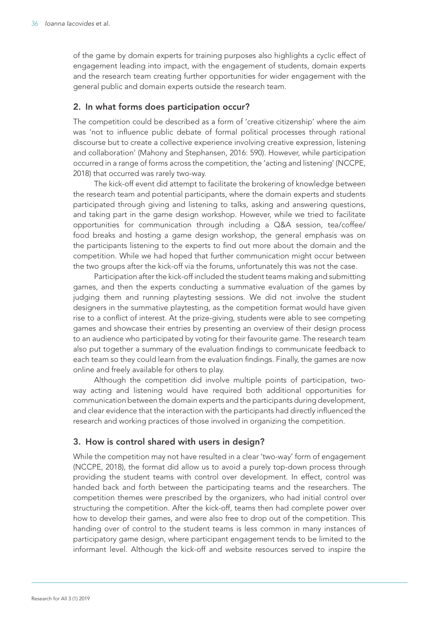of the game by domain experts for training purposes also highlights a cyclic effect of engagement leading into impact, with the engagement of students, domain experts and the research team creating further opportunities for wider engagement with the general public and domain experts outside the research team.

#### 2. In what forms does participation occur?

The competition could be described as a form of 'creative citizenship' where the aim was 'not to inluence public debate of formal political processes through rational discourse but to create a collective experience involving creative expression, listening and collaboration' (Mahony and Stephansen, 2016: 590). However, while participation occurred in a range of forms across the competition, the 'acting and listening' (NCCPE, 2018) that occurred was rarely two-way.

The kick-off event did attempt to facilitate the brokering of knowledge between the research team and potential participants, where the domain experts and students participated through giving and listening to talks, asking and answering questions, and taking part in the game design workshop. However, while we tried to facilitate opportunities for communication through including a Q&A session, tea/coffee/ food breaks and hosting a game design workshop, the general emphasis was on the participants listening to the experts to ind out more about the domain and the competition. While we had hoped that further communication might occur between the two groups after the kick-off via the forums, unfortunately this was not the case.

Participation after the kick-off included the student teams making and submitting games, and then the experts conducting a summative evaluation of the games by judging them and running playtesting sessions. We did not involve the student designers in the summative playtesting, as the competition format would have given rise to a conflict of interest. At the prize-giving, students were able to see competing games and showcase their entries by presenting an overview of their design process to an audience who participated by voting for their favourite game. The research team also put together a summary of the evaluation findings to communicate feedback to each team so they could learn from the evaluation indings. Finally, the games are now online and freely available for others to play.

Although the competition did involve multiple points of participation, twoway acting and listening would have required both additional opportunities for communication between the domain experts and the participants during development, and clear evidence that the interaction with the participants had directly influenced the research and working practices of those involved in organizing the competition.

#### 3. How is control shared with users in design?

While the competition may not have resulted in a clear 'two-way' form of engagement (NCCPE, 2018), the format did allow us to avoid a purely top-down process through providing the student teams with control over development. In effect, control was handed back and forth between the participating teams and the researchers. The competition themes were prescribed by the organizers, who had initial control over structuring the competition. After the kick-off, teams then had complete power over how to develop their games, and were also free to drop out of the competition. This handing over of control to the student teams is less common in many instances of participatory game design, where participant engagement tends to be limited to the informant level. Although the kick-off and website resources served to inspire the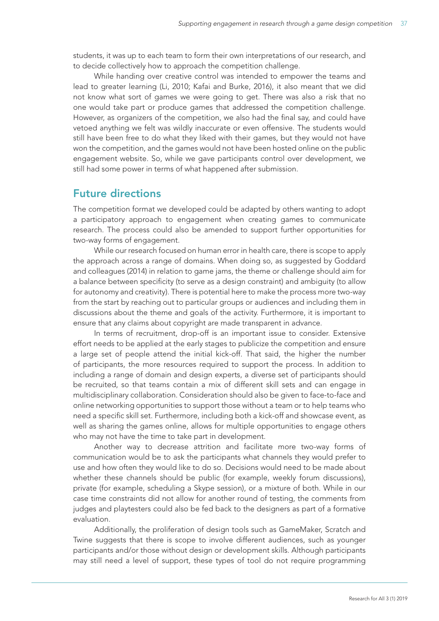students, it was up to each team to form their own interpretations of our research, and to decide collectively how to approach the competition challenge.

While handing over creative control was intended to empower the teams and lead to greater learning (Li, 2010; Kafai and Burke, 2016), it also meant that we did not know what sort of games we were going to get. There was also a risk that no one would take part or produce games that addressed the competition challenge. However, as organizers of the competition, we also had the inal say, and could have vetoed anything we felt was wildly inaccurate or even offensive. The students would still have been free to do what they liked with their games, but they would not have won the competition, and the games would not have been hosted online on the public engagement website. So, while we gave participants control over development, we still had some power in terms of what happened after submission.

## Future directions

The competition format we developed could be adapted by others wanting to adopt a participatory approach to engagement when creating games to communicate research. The process could also be amended to support further opportunities for two-way forms of engagement.

While our research focused on human error in health care, there is scope to apply the approach across a range of domains. When doing so, as suggested by Goddard and colleagues (2014) in relation to game jams, the theme or challenge should aim for a balance between specificity (to serve as a design constraint) and ambiguity (to allow for autonomy and creativity). There is potential here to make the process more two-way from the start by reaching out to particular groups or audiences and including them in discussions about the theme and goals of the activity. Furthermore, it is important to ensure that any claims about copyright are made transparent in advance.

In terms of recruitment, drop-off is an important issue to consider. Extensive effort needs to be applied at the early stages to publicize the competition and ensure a large set of people attend the initial kick-off. That said, the higher the number of participants, the more resources required to support the process. In addition to including a range of domain and design experts, a diverse set of participants should be recruited, so that teams contain a mix of different skill sets and can engage in multidisciplinary collaboration. Consideration should also be given to face-to-face and online networking opportunities to support those without a team or to help teams who need a speciic skill set. Furthermore, including both a kick-off and showcase event, as well as sharing the games online, allows for multiple opportunities to engage others who may not have the time to take part in development.

Another way to decrease attrition and facilitate more two-way forms of communication would be to ask the participants what channels they would prefer to use and how often they would like to do so. Decisions would need to be made about whether these channels should be public (for example, weekly forum discussions), private (for example, scheduling a Skype session), or a mixture of both. While in our case time constraints did not allow for another round of testing, the comments from judges and playtesters could also be fed back to the designers as part of a formative evaluation.

Additionally, the proliferation of design tools such as GameMaker, Scratch and Twine suggests that there is scope to involve different audiences, such as younger participants and/or those without design or development skills. Although participants may still need a level of support, these types of tool do not require programming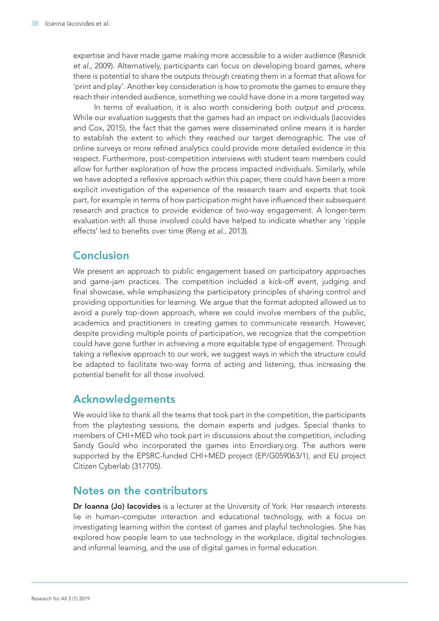expertise and have made game making more accessible to a wider audience (Resnick *et al*., 2009). Alternatively, participants can focus on developing board games, where there is potential to share the outputs through creating them in a format that allows for 'print and play'. Another key consideration is how to promote the games to ensure they reach their intended audience, something we could have done in a more targeted way.

In terms of evaluation, it is also worth considering both *output* and *process*. While our evaluation suggests that the games had an impact on individuals (Iacovides and Cox, 2015), the fact that the games were disseminated online means it is harder to establish the extent to which they reached our target demographic. The use of online surveys or more reined analytics could provide more detailed evidence in this respect. Furthermore, post-competition interviews with student team members could allow for further exploration of how the process impacted individuals. Similarly, while we have adopted a reflexive approach within this paper, there could have been a more explicit investigation of the experience of the research team and experts that took part, for example in terms of how participation might have inluenced their subsequent research and practice to provide evidence of two-way engagement. A longer-term evaluation with all those involved could have helped to indicate whether any 'ripple effects' led to benefits over time (Reng *et al.*, 2013).

# Conclusion

We present an approach to public engagement based on participatory approaches and game-jam practices. The competition included a kick-off event, judging and final showcase, while emphasizing the participatory principles of sharing control and providing opportunities for learning. We argue that the format adopted allowed us to avoid a purely top-down approach, where we could involve members of the public, academics and practitioners in creating games to communicate research. However, despite providing multiple points of participation, we recognize that the competition could have gone further in achieving a more equitable type of engagement. Through taking a reflexive approach to our work, we suggest ways in which the structure could be adapted to facilitate two-way forms of acting and listening, thus increasing the potential beneit for all those involved.

# Acknowledgements

We would like to thank all the teams that took part in the competition, the participants from the playtesting sessions, the domain experts and judges. Special thanks to members of CHI+MED who took part in discussions about the competition, including Sandy Gould who incorporated the games into Errordiary.org. The authors were supported by the EPSRC-funded CHI+MED project (EP/G059063/1), and EU project Citizen Cyberlab (317705).

# Notes on the contributors

Dr Ioanna (Jo) lacovides is a lecturer at the University of York. Her research interests lie in human–computer interaction and educational technology, with a focus on investigating learning within the context of games and playful technologies. She has explored how people learn to use technology in the workplace, digital technologies and informal learning, and the use of digital games in formal education.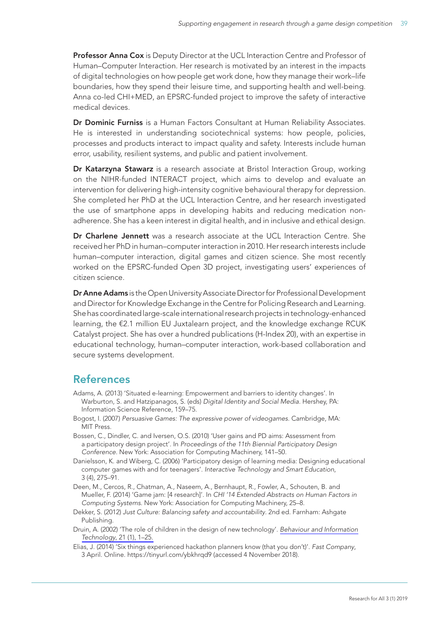Professor Anna Cox is Deputy Director at the UCL Interaction Centre and Professor of Human–Computer Interaction. Her research is motivated by an interest in the impacts of digital technologies on how people get work done, how they manage their work–life boundaries, how they spend their leisure time, and supporting health and well-being. Anna co-led CHI+MED, an EPSRC-funded project to improve the safety of interactive medical devices.

Dr Dominic Furniss is a Human Factors Consultant at Human Reliability Associates. He is interested in understanding sociotechnical systems: how people, policies, processes and products interact to impact quality and safety. Interests include human error, usability, resilient systems, and public and patient involvement.

Dr Katarzyna Stawarz is a research associate at Bristol Interaction Group, working on the NIHR-funded INTERACT project, which aims to develop and evaluate an intervention for delivering high-intensity cognitive behavioural therapy for depression. She completed her PhD at the UCL Interaction Centre, and her research investigated the use of smartphone apps in developing habits and reducing medication nonadherence. She has a keen interest in digital health, and in inclusive and ethical design.

Dr Charlene Jennett was a research associate at the UCL Interaction Centre. She received her PhD in human–computer interaction in 2010. Her research interests include human–computer interaction, digital games and citizen science. She most recently worked on the EPSRC-funded Open 3D project, investigating users' experiences of citizen science.

Dr Anne Adams is the Open University Associate Director for Professional Development and Director for Knowledge Exchange in the Centre for Policing Research and Learning. She has coordinated large-scale international research projects in technology-enhanced learning, the €2.1 million EU Juxtalearn project, and the knowledge exchange RCUK Catalyst project. She has over a hundred publications (H-Index 20), with an expertise in educational technology, human–computer interaction, work-based collaboration and secure systems development.

# References

- Adams, A. (2013) 'Situated e-learning: Empowerment and barriers to identity changes'. In Warburton, S. and Hatzipanagos, S. (eds) *Digital Identity and Social Media*. Hershey, PA: Information Science Reference, 159–75.
- Bogost, I. (2007) *Persuasive Games: The expressive power of videogames.* Cambridge, MA: MIT Press.
- Bossen, C., Dindler, C. and Iversen, O.S. (2010) 'User gains and PD aims: Assessment from a participatory design project'. In *Proceedings of the 11th Biennial Participatory Design Conference*. New York: Association for Computing Machinery, 141–50.
- Danielsson, K. and Wiberg, C. (2006) 'Participatory design of learning media: Designing educational computer games with and for teenagers'. *Interactive Technology and Smart Education*, 3 (4), 275–91.
- Deen, M., Cercos, R., Chatman, A., Naseem, A., Bernhaupt, R., Fowler, A., Schouten, B. and Mueller, F. (2014) 'Game jam: [4 research]'. In *CHI '14 Extended Abstracts on Human Factors in Computing Systems*. New York: Association for Computing Machinery, 25–8.
- Dekker, S. (2012) *Just Culture: Balancing safety and accountability*. 2nd ed. Farnham: Ashgate Publishing.
- Druin, A. (2002) 'The role of children in the design of new technology'. *[Behaviour and Information](http://www.ingentaconnect.com/content/external-references?article=0144-929x()21:1L.1[aid=9114673])  [Technology](http://www.ingentaconnect.com/content/external-references?article=0144-929x()21:1L.1[aid=9114673])*, 21 (1), 1–25.
- Elias, J. (2014) 'Six things experienced hackathon planners know (that you don't)'. *Fast Company*, 3 April. Online. https://tinyurl.com/ybkhrqd9 (accessed 4 November 2018).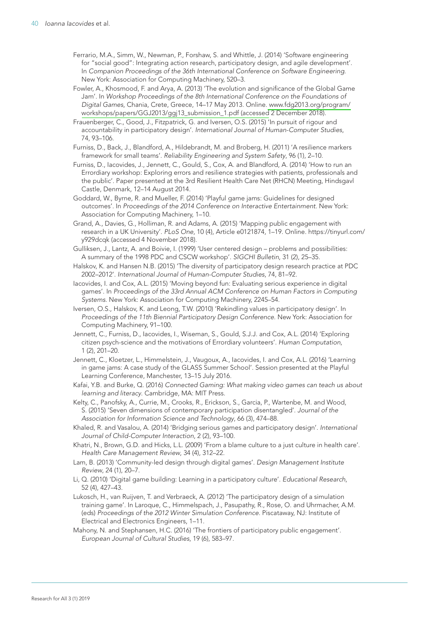- Ferrario, M.A., Simm, W., Newman, P., Forshaw, S. and Whittle, J. (2014) 'Software engineering for "social good": Integrating action research, participatory design, and agile development'. In *Companion Proceedings of the 36th International Conference on Software Engineering*. New York: Association for Computing Machinery, 520–3.
- Fowler, A., Khosmood, F. and Arya, A. (2013) 'The evolution and significance of the Global Game Jam'. In *Workshop Proceedings of the 8th International Conference on the Foundations of Digital Games*, Chania, Crete, Greece, 14–17 May 2013. Online. [www.f](http://www.fdg2013.org/program/workshops/papers/GGJ2013/ggj13_submission_1.pdf">.fdg2013.org/program/<Ahref="http://www.fdg2013.org/program/workshops/papers/GGJ2013/ggj13_submission_1.pdf">workshops/papers/GGJ2013/ggj13_submission_1.pdf)[dg2013.org/program](http://www.fdg2013.org/program/workshops/papers/GGJ2013/ggj13_submission_1.pdf)[/](http://www.fdg2013.org/program/workshops/papers/GGJ2013/ggj13_submission_1.pdf">.fdg2013.org/program/<Ahref="http://www.fdg2013.org/program/workshops/papers/GGJ2013/ggj13_submission_1.pdf">workshops/papers/GGJ2013/ggj13_submission_1.pdf) [workshops/papers/GGJ2013/ggj13\\_submission\\_1.pdf](http://www.fdg2013.org/program/workshops/papers/GGJ2013/ggj13_submission_1.pdf">.fdg2013.org/program/<Ahref="http://www.fdg2013.org/program/workshops/papers/GGJ2013/ggj13_submission_1.pdf">workshops/papers/GGJ2013/ggj13_submission_1.pdf) [\(accessed](http://www.fdg2013.org/program/workshops/papers/GGJ2013/ggj13_submission_1.pdf) 2 December 2018).
- Frauenberger, C., Good, J., Fitzpatrick, G. and Iversen, O.S. (2015) 'In pursuit of rigour and accountability in participatory design'. *International Journal of Human-Computer Studies*, 74, 93–106.
- Furniss, D., Back, J., Blandford, A., Hildebrandt, M. and Broberg, H. (2011) 'A resilience markers framework for small teams'. *Reliability Engineering and System Safety*, 96 (1), 2–10.
- Furniss, D., Iacovides, J., Jennett, C., Gould, S., Cox, A. and Blandford, A. (2014) 'How to run an Errordiary workshop: Exploring errors and resilience strategies with patients, professionals and the public'. Paper presented at the 3rd Resilient Health Care Net (RHCN) Meeting, Hindsgavl Castle, Denmark, 12–14 August 2014.
- Goddard, W., Byrne, R. and Mueller, F. (2014) 'Playful game jams: Guidelines for designed outcomes'. In *Proceedings of the 2014 Conference on Interactive Entertainment*. New York: Association for Computing Machinery, 1–10.
- Grand, A., Davies, G., Holliman, R. and Adams, A. (2015) 'Mapping public engagement with research in a UK University'. *PLoS One*, 10 (4), Article e0121874, 1–19. Online. https://tinyurl.com/ y929dcqk (accessed 4 November 2018).
- Gulliksen, J., Lantz, A. and Boivie, I. (1999) 'User centered design problems and possibilities: A summary of the 1998 PDC and CSCW workshop'. *SIGCHI Bulletin*, 31 (2), 25–35.
- Halskov, K. and Hansen N.B. (2015) 'The diversity of participatory design research practice at PDC 2002–2012'. *International Journal of Human-Computer Studies*, 74, 81–92.
- Iacovides, I. and Cox, A.L. (2015) 'Moving beyond fun: Evaluating serious experience in digital games'. In *Proceedings of the 33rd Annual ACM Conference on Human Factors in Computing Systems*. New York: Association for Computing Machinery, 2245–54.
- Iversen, O.S., Halskov, K. and Leong, T.W. (2010) 'Rekindling values in participatory design'. In *Proceedings of the 11th Biennial Participatory Design Conference*. New York: Association for Computing Machinery, 91–100.
- Jennett, C., Furniss, D., Iacovides, I., Wiseman, S., Gould, S.J.J. and Cox, A.L. (2014) 'Exploring citizen psych-science and the motivations of Errordiary volunteers'. *Human Computation*, 1 (2), 201–20.
- Jennett, C., Kloetzer, L., Himmelstein, J., Vaugoux, A., Iacovides, I. and Cox, A.L. (2016) 'Learning in game jams: A case study of the GLASS Summer School'. Session presented at the Playful Learning Conference, Manchester, 13–15 July 2016.
- Kafai, Y.B. and Burke, Q. (2016) *Connected Gaming: What making video games can teach us about learning and literacy*. Cambridge, MA: MIT Press.
- Kelty, C., Panofsky, A., Currie, M., Crooks, R., Erickson, S., Garcia, P., Wartenbe, M. and Wood, S. (2015) 'Seven dimensions of contemporary participation disentangled'. *Journal of the Association for Information Science and Technology*, 66 (3), 474–88.
- Khaled, R. and Vasalou, A. (2014) 'Bridging serious games and participatory design'. *International Journal of Child-Computer Interaction*, 2 (2), 93–100.
- Khatri, N., Brown, G.D. and Hicks, L.L. (2009) 'From a blame culture to a just culture in health care'. *Health Care Management Review*, 34 (4), 312–22.
- Lam, B. (2013) 'Community‐led design through digital games'. *Design Management Institute Review*, 24 (1), 20–7.
- Li, Q. (2010) 'Digital game building: Learning in a participatory culture'. *Educational Research*, 52 (4), 427–43.
- Lukosch, H., van Ruijven, T. and Verbraeck, A. (2012) 'The participatory design of a simulation training game'. In Laroque, C., Himmelspach, J., Pasupathy, R., Rose, O. and Uhrmacher, A.M. (eds) *Proceedings of the 2012 Winter Simulation Conference*. Piscataway, NJ: Institute of Electrical and Electronics Engineers, 1–11.
- Mahony, N. and Stephansen, H.C. (2016) 'The frontiers of participatory public engagement'. *European Journal of Cultural Studies*, 19 (6), 583–97.